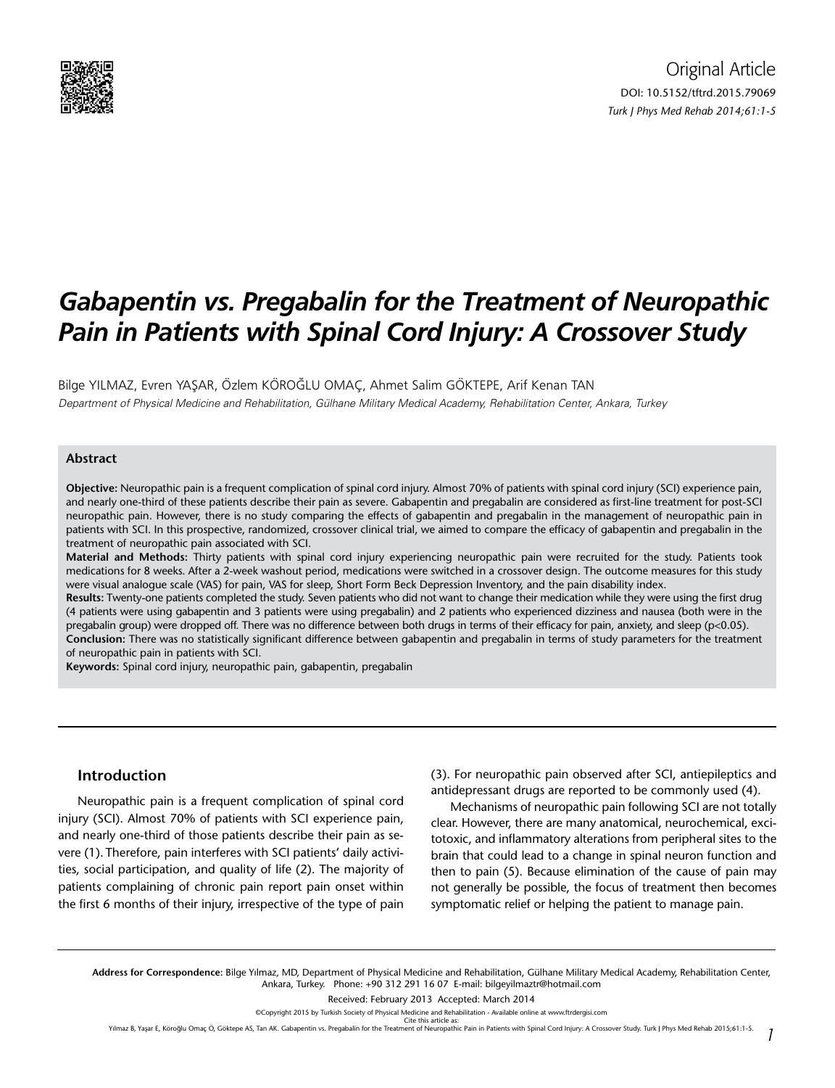

# *Gabapentin vs. Pregabalin for the Treatment of Neuropathic Pain in Patients with Spinal Cord Injury: A Crossover Study*

Bilge YILMAZ, Evren YAŞAR, Özlem KÖROĞLU OMAÇ, Ahmet Salim GÖKTEPE, Arif Kenan TAN Department of Physical Medicine and Rehabilitation, Gülhane Military Medical Academy, Rehabilitation Center, Ankara, Turkey

#### **Abstract**

**Objective:** Neuropathic pain is a frequent complication of spinal cord injury. Almost 70% of patients with spinal cord injury (SCI) experience pain, and nearly one-third of these patients describe their pain as severe. Gabapentin and pregabalin are considered as first-line treatment for post-SCI neuropathic pain. However, there is no study comparing the effects of gabapentin and pregabalin in the management of neuropathic pain in patients with SCI. In this prospective, randomized, crossover clinical trial, we aimed to compare the efficacy of gabapentin and pregabalin in the treatment of neuropathic pain associated with SCI.

**Material and Methods:** Thirty patients with spinal cord injury experiencing neuropathic pain were recruited for the study. Patients took medications for 8 weeks. After a 2-week washout period, medications were switched in a crossover design. The outcome measures for this study were visual analogue scale (VAS) for pain, VAS for sleep, Short Form Beck Depression Inventory, and the pain disability index.

**Results:** Twenty-one patients completed the study. Seven patients who did not want to change their medication while they were using the first drug (4 patients were using gabapentin and 3 patients were using pregabalin) and 2 patients who experienced dizziness and nausea (both were in the pregabalin group) were dropped off. There was no difference between both drugs in terms of their efficacy for pain, anxiety, and sleep (p<0.05). **Conclusion:** There was no statistically significant difference between gabapentin and pregabalin in terms of study parameters for the treatment of neuropathic pain in patients with SCI.

**Keywords:** Spinal cord injury, neuropathic pain, gabapentin, pregabalin

#### **Introduction**

Neuropathic pain is a frequent complication of spinal cord injury (SCI). Almost 70% of patients with SCI experience pain, and nearly one-third of those patients describe their pain as severe (1). Therefore, pain interferes with SCI patients' daily activities, social participation, and quality of life (2). The majority of patients complaining of chronic pain report pain onset within the first 6 months of their injury, irrespective of the type of pain (3). For neuropathic pain observed after SCI, antiepileptics and antidepressant drugs are reported to be commonly used (4).

Mechanisms of neuropathic pain following SCI are not totally clear. However, there are many anatomical, neurochemical, excitotoxic, and inflammatory alterations from peripheral sites to the brain that could lead to a change in spinal neuron function and then to pain (5). Because elimination of the cause of pain may not generally be possible, the focus of treatment then becomes symptomatic relief or helping the patient to manage pain.

Received: February 2013 Accepted: March 2014

Yılmaz B, Yaşar E, Köroğlu Omaç Ö, Göktepe AS, Tan AK. Gabapentin vs. Pregabalin for the Treatment of Neuropathic Pain in Patients with Spinal Cord Injury: A Crossover Study. Turk J Phys Med Rehab 2015;61:1-5. *1*

**Address for Correspondence:** Bilge Yılmaz, MD, Department of Physical Medicine and Rehabilitation, Gülhane Military Medical Academy, Rehabilitation Center, Ankara, Turkey. Phone: +90 312 291 16 07 E-mail: bilgeyilmaztr@hotmail.com

<sup>©</sup>Copyright 2015 by Turkish Society of Physical Medicine and Rehabilitation - Available online at www.ftrdergisi.com Cite this article as: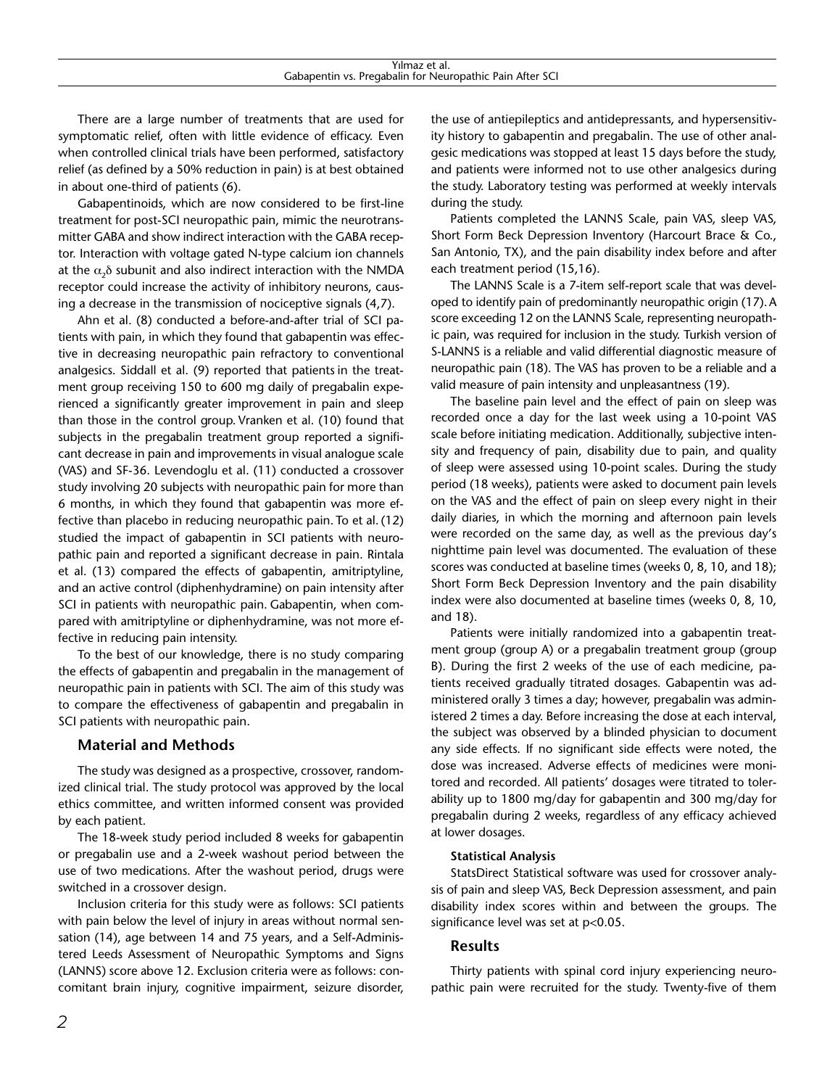There are a large number of treatments that are used for symptomatic relief, often with little evidence of efficacy. Even when controlled clinical trials have been performed, satisfactory relief (as defined by a 50% reduction in pain) is at best obtained in about one-third of patients (6).

Gabapentinoids, which are now considered to be first-line treatment for post-SCI neuropathic pain, mimic the neurotransmitter GABA and show indirect interaction with the GABA receptor. Interaction with voltage gated N-type calcium ion channels at the  $\alpha$ <sub>-</sub> $\delta$  subunit and also indirect interaction with the NMDA receptor could increase the activity of inhibitory neurons, causing a decrease in the transmission of nociceptive signals (4,7).

Ahn et al. (8) conducted a before-and-after trial of SCI patients with pain, in which they found that gabapentin was effective in decreasing neuropathic pain refractory to conventional analgesics. Siddall et al. (9) reported that patients in the treatment group receiving 150 to 600 mg daily of pregabalin experienced a significantly greater improvement in pain and sleep than those in the control group. Vranken et al. (10) found that subjects in the pregabalin treatment group reported a significant decrease in pain and improvements in visual analogue scale (VAS) and SF-36. Levendoglu et al. (11) conducted a crossover study involving 20 subjects with neuropathic pain for more than 6 months, in which they found that gabapentin was more effective than placebo in reducing neuropathic pain. To et al.(12) studied the impact of gabapentin in SCI patients with neuropathic pain and reported a significant decrease in pain. Rintala et al. (13) compared the effects of gabapentin, amitriptyline, and an active control (diphenhydramine) on pain intensity after SCI in patients with neuropathic pain. Gabapentin, when compared with amitriptyline or diphenhydramine, was not more effective in reducing pain intensity.

To the best of our knowledge, there is no study comparing the effects of gabapentin and pregabalin in the management of neuropathic pain in patients with SCI. The aim of this study was to compare the effectiveness of gabapentin and pregabalin in SCI patients with neuropathic pain.

# **Material and Methods**

The study was designed as a prospective, crossover, randomized clinical trial. The study protocol was approved by the local ethics committee, and written informed consent was provided by each patient.

The 18-week study period included 8 weeks for gabapentin or pregabalin use and a 2-week washout period between the use of two medications. After the washout period, drugs were switched in a crossover design.

Inclusion criteria for this study were as follows: SCI patients with pain below the level of injury in areas without normal sensation (14), age between 14 and 75 years, and a Self-Administered Leeds Assessment of Neuropathic Symptoms and Signs (LANNS) score above 12. Exclusion criteria were as follows: concomitant brain injury, cognitive impairment, seizure disorder,

the use of antiepileptics and antidepressants, and hypersensitivity history to gabapentin and pregabalin. The use of other analgesic medications was stopped at least 15 days before the study, and patients were informed not to use other analgesics during the study. Laboratory testing was performed at weekly intervals during the study.

Patients completed the LANNS Scale, pain VAS, sleep VAS, Short Form Beck Depression Inventory (Harcourt Brace & Co., San Antonio, TX), and the pain disability index before and after each treatment period (15,16).

The LANNS Scale is a 7-item self-report scale that was developed to identify pain of predominantly neuropathic origin (17).A score exceeding 12 on the LANNS Scale, representing neuropathic pain, was required for inclusion in the study. Turkish version of S-LANNS is a reliable and valid differential diagnostic measure of neuropathic pain (18). The VAS has proven to be a reliable and a valid measure of pain intensity and unpleasantness (19).

The baseline pain level and the effect of pain on sleep was recorded once a day for the last week using a 10-point VAS scale before initiating medication. Additionally, subjective intensity and frequency of pain, disability due to pain, and quality of sleep were assessed using 10-point scales. During the study period (18 weeks), patients were asked to document pain levels on the VAS and the effect of pain on sleep every night in their daily diaries, in which the morning and afternoon pain levels were recorded on the same day, as well as the previous day's nighttime pain level was documented. The evaluation of these scores was conducted at baseline times (weeks 0, 8, 10, and 18); Short Form Beck Depression Inventory and the pain disability index were also documented at baseline times (weeks 0, 8, 10, and 18).

Patients were initially randomized into a gabapentin treatment group (group A) or a pregabalin treatment group (group B). During the first 2 weeks of the use of each medicine, patients received gradually titrated dosages. Gabapentin was administered orally 3 times a day; however, pregabalin was administered 2 times a day. Before increasing the dose at each interval, the subject was observed by a blinded physician to document any side effects. If no significant side effects were noted, the dose was increased. Adverse effects of medicines were monitored and recorded. All patients' dosages were titrated to tolerability up to 1800 mg/day for gabapentin and 300 mg/day for pregabalin during 2 weeks, regardless of any efficacy achieved at lower dosages.

### **Statistical Analysis**

StatsDirect Statistical software was used for crossover analysis of pain and sleep VAS, Beck Depression assessment, and pain disability index scores within and between the groups. The significance level was set at p<0.05.

# **Results**

Thirty patients with spinal cord injury experiencing neuropathic pain were recruited for the study. Twenty-five of them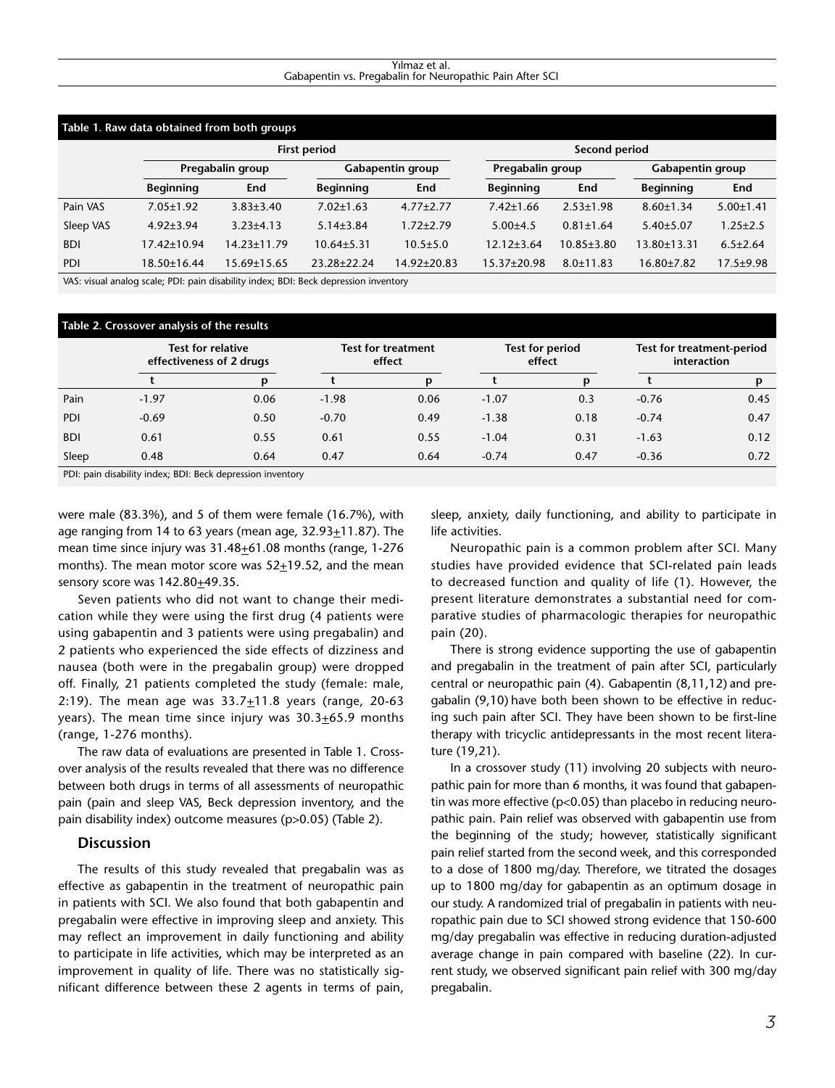#### Yılmaz et al. Gabapentin vs. Pregabalin for Neuropathic Pain After SCI

| Table 1. Raw data obtained from both groups |                   |                   |                     |                 |                   |                  |                  |                 |  |  |  |  |  |
|---------------------------------------------|-------------------|-------------------|---------------------|-----------------|-------------------|------------------|------------------|-----------------|--|--|--|--|--|
|                                             |                   |                   | <b>First period</b> |                 | Second period     |                  |                  |                 |  |  |  |  |  |
|                                             | Pregabalin group  |                   | Gabapentin group    |                 | Pregabalin group  |                  | Gabapentin group |                 |  |  |  |  |  |
|                                             | <b>Beginning</b>  | End               | <b>Beginning</b>    | End             | <b>Beginning</b>  | End              | <b>Beginning</b> | End             |  |  |  |  |  |
| Pain VAS                                    | $7.05 \pm 1.92$   | $3.83 \pm 3.40$   | $7.02 \pm 1.63$     | $4.77 \pm 2.77$ | $7.42 \pm 1.66$   | $2.53 \pm 1.98$  | $8.60 \pm 1.34$  | $5.00 \pm 1.41$ |  |  |  |  |  |
| Sleep VAS                                   | $4.92 \pm 3.94$   | $3.23 + 4.13$     | $5.14 \pm 3.84$     | $1.72 \pm 2.79$ | $5.00 + 4.5$      | $0.81 \pm 1.64$  | $5.40 \pm 5.07$  | $1.25 \pm 2.5$  |  |  |  |  |  |
| <b>BDI</b>                                  | $17.42 \pm 10.94$ | $14.23 \pm 11.79$ | $10.64 \pm 5.31$    | $10.5 \pm 5.0$  | $12.12 \pm 3.64$  | $10.85 \pm 3.80$ | 13.80±13.31      | $6.5 \pm 2.64$  |  |  |  |  |  |
| <b>PDI</b>                                  | $18.50\pm16.44$   | 15.69±15.65       | 23.28+22.24         | 14.92±20.83     | $15.37 \pm 20.98$ | $8.0 \pm 11.83$  | $16.80{\pm}7.82$ | $17.5 \pm 9.98$ |  |  |  |  |  |

VAS: visual analog scale; PDI: pain disability index; BDI: Beck depression inventory

| Table 2. Crossover analysis of the results |                                                      |      |                                     |      |                           |      |                                          |      |  |  |  |
|--------------------------------------------|------------------------------------------------------|------|-------------------------------------|------|---------------------------|------|------------------------------------------|------|--|--|--|
|                                            | <b>Test for relative</b><br>effectiveness of 2 drugs |      | <b>Test for treatment</b><br>effect |      | Test for period<br>effect |      | Test for treatment-period<br>interaction |      |  |  |  |
|                                            |                                                      |      |                                     | p    |                           | p    |                                          |      |  |  |  |
| Pain                                       | $-1.97$                                              | 0.06 | $-1.98$                             | 0.06 | $-1.07$                   | 0.3  | $-0.76$                                  | 0.45 |  |  |  |
| PDI                                        | $-0.69$                                              | 0.50 | $-0.70$                             | 0.49 | $-1.38$                   | 0.18 | $-0.74$                                  | 0.47 |  |  |  |
| <b>BDI</b>                                 | 0.61                                                 | 0.55 | 0.61                                | 0.55 | $-1.04$                   | 0.31 | $-1.63$                                  | 0.12 |  |  |  |
| Sleep                                      | 0.48                                                 | 0.64 | 0.47                                | 0.64 | $-0.74$                   | 0.47 | $-0.36$                                  | 0.72 |  |  |  |

PDI: pain disability index; BDI: Beck depression inventory

were male (83.3%), and 5 of them were female (16.7%), with age ranging from 14 to 63 years (mean age,  $32.93+11.87$ ). The mean time since injury was  $31.48 \pm 61.08$  months (range, 1-276 months). The mean motor score was 52+19.52, and the mean sensory score was 142.80+49.35.

Seven patients who did not want to change their medication while they were using the first drug (4 patients were using gabapentin and 3 patients were using pregabalin) and 2 patients who experienced the side effects of dizziness and nausea (both were in the pregabalin group) were dropped off. Finally, 21 patients completed the study (female: male, 2:19). The mean age was  $33.7 \pm 11.8$  years (range, 20-63 years). The mean time since injury was 30.3+65.9 months (range, 1-276 months).

The raw data of evaluations are presented in Table 1. Crossover analysis of the results revealed that there was no difference between both drugs in terms of all assessments of neuropathic pain (pain and sleep VAS, Beck depression inventory, and the pain disability index) outcome measures (p>0.05) (Table 2).

#### **Discussion**

The results of this study revealed that pregabalin was as effective as gabapentin in the treatment of neuropathic pain in patients with SCI. We also found that both gabapentin and pregabalin were effective in improving sleep and anxiety. This may reflect an improvement in daily functioning and ability to participate in life activities, which may be interpreted as an improvement in quality of life. There was no statistically significant difference between these 2 agents in terms of pain,

sleep, anxiety, daily functioning, and ability to participate in life activities.

Neuropathic pain is a common problem after SCI. Many studies have provided evidence that SCI-related pain leads to decreased function and quality of life (1). However, the present literature demonstrates a substantial need for comparative studies of pharmacologic therapies for neuropathic pain (20).

There is strong evidence supporting the use of gabapentin and pregabalin in the treatment of pain after SCI, particularly central or neuropathic pain (4). Gabapentin (8,11,12) and pregabalin (9,10) have both been shown to be effective in reducing such pain after SCI. They have been shown to be first-line therapy with tricyclic antidepressants in the most recent literature (19,21).

In a crossover study (11) involving 20 subjects with neuropathic pain for more than 6 months, it was found that gabapentin was more effective (p<0.05) than placebo in reducing neuropathic pain. Pain relief was observed with gabapentin use from the beginning of the study; however, statistically significant pain relief started from the second week, and this corresponded to a dose of 1800 mg/day. Therefore, we titrated the dosages up to 1800 mg/day for gabapentin as an optimum dosage in our study. A randomized trial of pregabalin in patients with neuropathic pain due to SCI showed strong evidence that 150-600 mg/day pregabalin was effective in reducing duration-adjusted average change in pain compared with baseline (22). In current study, we observed significant pain relief with 300 mg/day pregabalin.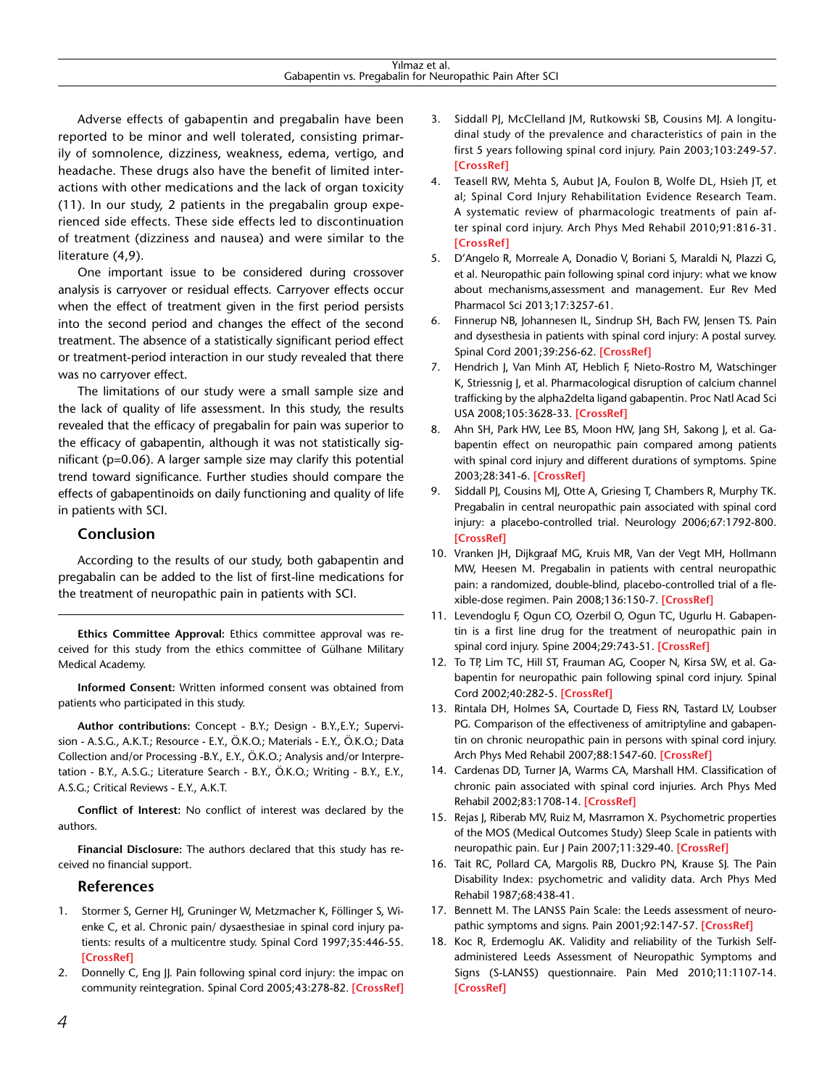Adverse effects of gabapentin and pregabalin have been reported to be minor and well tolerated, consisting primarily of somnolence, dizziness, weakness, edema, vertigo, and headache. These drugs also have the benefit of limited interactions with other medications and the lack of organ toxicity (11). In our study, 2 patients in the pregabalin group experienced side effects. These side effects led to discontinuation of treatment (dizziness and nausea) and were similar to the literature (4,9).

One important issue to be considered during crossover analysis is carryover or residual effects. Carryover effects occur when the effect of treatment given in the first period persists into the second period and changes the effect of the second treatment. The absence of a statistically significant period effect or treatment-period interaction in our study revealed that there was no carryover effect.

The limitations of our study were a small sample size and the lack of quality of life assessment. In this study, the results revealed that the efficacy of pregabalin for pain was superior to the efficacy of gabapentin, although it was not statistically significant (p=0.06). A larger sample size may clarify this potential trend toward significance. Further studies should compare the effects of gabapentinoids on daily functioning and quality of life in patients with SCI.

# **Conclusion**

According to the results of our study, both gabapentin and pregabalin can be added to the list of first-line medications for the treatment of neuropathic pain in patients with SCI.

**Ethics Committee Approval:** Ethics committee approval was received for this study from the ethics committee of Gülhane Military Medical Academy.

**Informed Consent:** Written informed consent was obtained from patients who participated in this study.

**Author contributions:** Concept - B.Y.; Design - B.Y.,E.Y.; Supervision - A.S.G., A.K.T.; Resource - E.Y., Ö.K.O.; Materials - E.Y., Ö.K.O.; Data Collection and/or Processing -B.Y., E.Y., Ö.K.O.; Analysis and/or Interpretation - B.Y., A.S.G.; Literature Search - B.Y., Ö.K.O.; Writing - B.Y., E.Y., A.S.G.; Critical Reviews - E.Y., A.K.T.

**Conflict of Interest:** No conflict of interest was declared by the authors.

**Financial Disclosure:** The authors declared that this study has received no financial support.

### **References**

- 1. Stormer S, Gerner HJ, Gruninger W, Metzmacher K, Föllinger S, Wienke C, et al. Chronic pain/ dysaesthesiae in spinal cord injury patients: results of a multicentre study. Spinal Cord 1997;35:446-55. **[\[CrossRef\]](http://dx.doi.org/10.1038/sj.sc.3100411)**
- 2. Donnelly C, Eng JJ. Pain following spinal cord injury: the impac on community reintegration. Spinal Cord 2005;43:278-82. **[\[CrossRef\]](http://dx.doi.org/10.1038/sj.sc.3101702)**
- 3. Siddall PJ, McClelland JM, Rutkowski SB, Cousins MJ. A longitudinal study of the prevalence and characteristics of pain in the first 5 years following spinal cord injury. Pain 2003;103:249-57. **[\[CrossRef\]](http://dx.doi.org/10.1016/S0304-3959(02)00452-9)**
- 4. Teasell RW, Mehta S, Aubut JA, Foulon B, Wolfe DL, Hsieh JT, et al; Spinal Cord Injury Rehabilitation Evidence Research Team. A systematic review of pharmacologic treatments of pain after spinal cord injury. Arch Phys Med Rehabil 2010;91:816-31. **[\[CrossRef\]](http://dx.doi.org/10.1016/j.apmr.2010.01.022)**
- 5. D'Angelo R, Morreale A, Donadio V, Boriani S, Maraldi N, Plazzi G, et al. Neuropathic pain following spinal cord injury: what we know about mechanisms,assessment and management. Eur Rev Med Pharmacol Sci 2013;17:3257-61.
- 6. Finnerup NB, Johannesen IL, Sindrup SH, Bach FW, Jensen TS. Pain and dysesthesia in patients with spinal cord injury: A postal survey. Spinal Cord 2001;39:256-62. **[\[CrossRef\]](http://dx.doi.org/10.1038/sj.sc.3101161)**
- 7. Hendrich J, Van Minh AT, Heblich F, Nieto-Rostro M, Watschinger K, Striessnig J, et al. Pharmacological disruption of calcium channel trafficking by the alpha2delta ligand gabapentin. Proc Natl Acad Sci USA 2008;105:3628-33. **[\[CrossRef\]](http://dx.doi.org/10.1073/pnas.0708930105)**
- 8. Ahn SH, Park HW, Lee BS, Moon HW, Jang SH, Sakong J, et al. Gabapentin effect on neuropathic pain compared among patients with spinal cord injury and different durations of symptoms. Spine 2003;28:341-6. **[\[CrossRef\]](http://dx.doi.org/10.1097/01.BRS.0000048464.57011.00)**
- 9. Siddall PJ, Cousins MJ, Otte A, Griesing T, Chambers R, Murphy TK. Pregabalin in central neuropathic pain associated with spinal cord injury: a placebo-controlled trial. Neurology 2006;67:1792-800. **[\[CrossRef\]](http://dx.doi.org/10.1212/01.wnl.0000244422.45278.ff)**
- 10. Vranken JH, Dijkgraaf MG, Kruis MR, Van der Vegt MH, Hollmann MW, Heesen M. Pregabalin in patients with central neuropathic pain: a randomized, double-blind, placebo-controlled trial of a flexible-dose regimen. Pain 2008;136:150-7. **[\[CrossRef\]](http://dx.doi.org/10.1016/j.pain.2007.06.033)**
- 11. Levendoglu F, Ogun CO, Ozerbil O, Ogun TC, Ugurlu H. Gabapentin is a first line drug for the treatment of neuropathic pain in spinal cord injury. Spine 2004;29:743-51. **[\[CrossRef\]](http://dx.doi.org/10.1097/01.BRS.0000112068.16108.3A)**
- 12. To TP, Lim TC, Hill ST, Frauman AG, Cooper N, Kirsa SW, et al. Gabapentin for neuropathic pain following spinal cord injury. Spinal Cord 2002;40:282-5. **[\[CrossRef\]](http://dx.doi.org/10.1038/sj.sc.3101300)**
- 13. Rintala DH, Holmes SA, Courtade D, Fiess RN, Tastard LV, Loubser PG. Comparison of the effectiveness of amitriptyline and gabapentin on chronic neuropathic pain in persons with spinal cord injury. Arch Phys Med Rehabil 2007;88:1547-60. **[\[CrossRef\]](http://dx.doi.org/10.1016/j.apmr.2007.07.038)**
- 14. Cardenas DD, Turner JA, Warms CA, Marshall HM. Classification of chronic pain associated with spinal cord injuries. Arch Phys Med Rehabil 2002;83:1708-14. **[\[CrossRef\]](http://dx.doi.org/10.1053/apmr.2002.35651)**
- 15. Rejas J, Riberab MV, Ruiz M, Masrramon X. Psychometric properties of the MOS (Medical Outcomes Study) Sleep Scale in patients with neuropathic pain. Eur J Pain 2007;11:329-40. **[\[CrossRef\]](http://dx.doi.org/10.1016/j.ejpain.2006.05.002)**
- 16. Tait RC, Pollard CA, Margolis RB, Duckro PN, Krause SJ. The Pain Disability Index: psychometric and validity data. Arch Phys Med Rehabil 1987;68:438-41.
- 17. Bennett M. The LANSS Pain Scale: the Leeds assessment of neuropathic symptoms and signs. Pain 2001;92:147-57. **[\[CrossRef\]](http://dx.doi.org/10.1016/S0304-3959(00)00482-6)**
- 18. Koc R, Erdemoglu AK. Validity and reliability of the Turkish Selfadministered Leeds Assessment of Neuropathic Symptoms and Signs (S-LANSS) questionnaire. Pain Med 2010;11:1107-14. **[\[CrossRef\]](http://dx.doi.org/10.1111/j.1526-4637.2010.00837.x)**